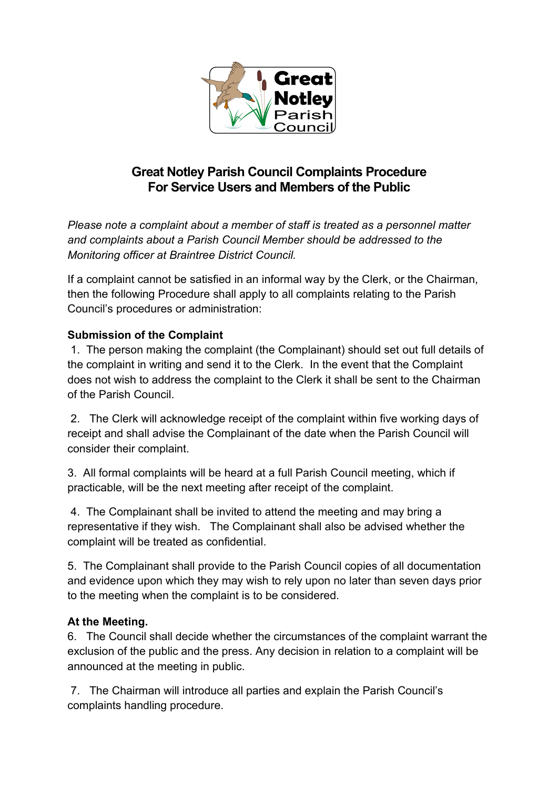

## **Great Notley Parish Council Complaints Procedure For Service Users and Members of the Public**

*Please note a complaint about a member of staff is treated as a personnel matter and complaints about a Parish Council Member should be addressed to the Monitoring officer at Braintree District Council.* 

If a complaint cannot be satisfied in an informal way by the Clerk, or the Chairman, then the following Procedure shall apply to all complaints relating to the Parish Council's procedures or administration:

## **Submission of the Complaint**

1. The person making the complaint (the Complainant) should set out full details of the complaint in writing and send it to the Clerk. In the event that the Complaint does not wish to address the complaint to the Clerk it shall be sent to the Chairman of the Parish Council.

2. The Clerk will acknowledge receipt of the complaint within five working days of receipt and shall advise the Complainant of the date when the Parish Council will consider their complaint.

3. All formal complaints will be heard at a full Parish Council meeting, which if practicable, will be the next meeting after receipt of the complaint.

4. The Complainant shall be invited to attend the meeting and may bring a representative if they wish. The Complainant shall also be advised whether the complaint will be treated as confidential.

5. The Complainant shall provide to the Parish Council copies of all documentation and evidence upon which they may wish to rely upon no later than seven days prior to the meeting when the complaint is to be considered.

## **At the Meeting.**

6. The Council shall decide whether the circumstances of the complaint warrant the exclusion of the public and the press. Any decision in relation to a complaint will be announced at the meeting in public.

7. The Chairman will introduce all parties and explain the Parish Council's complaints handling procedure.